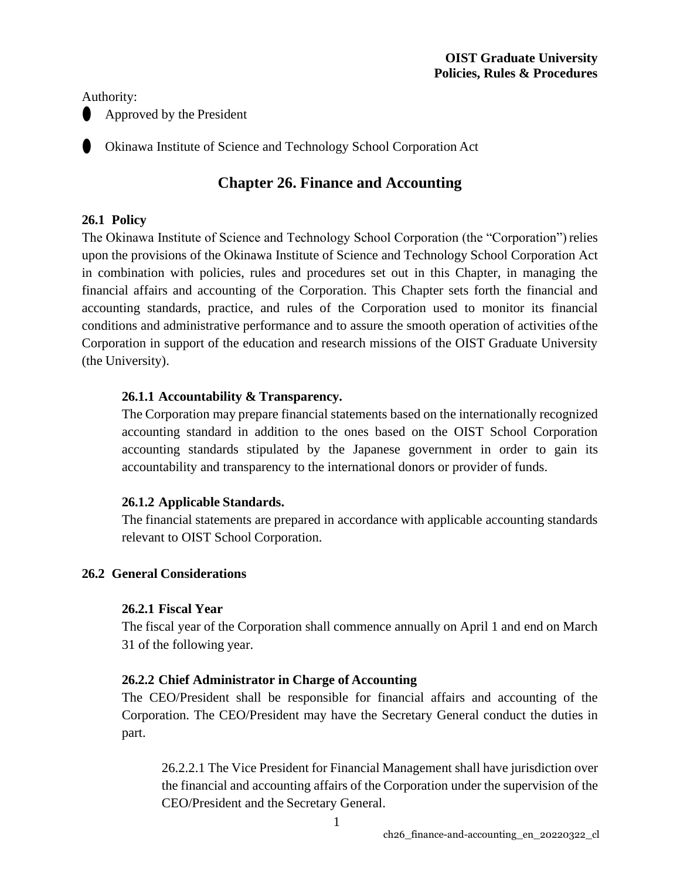Authority:

⚫ Approved by the President

⚫ Okinawa Institute of Science and Technology School Corporation Act

# **Chapter 26. Finance and Accounting**

# **26.1 Policy**

The Okinawa Institute of Science and Technology School Corporation (the "Corporation") relies upon the provisions of the Okinawa Institute of Science and Technology School Corporation Act in combination with policies, rules and procedures set out in this Chapter, in managing the financial affairs and accounting of the Corporation. This Chapter sets forth the financial and accounting standards, practice, and rules of the Corporation used to monitor its financial conditions and administrative performance and to assure the smooth operation of activities ofthe Corporation in support of the education and research missions of the OIST Graduate University (the University).

# **26.1.1 Accountability & Transparency.**

The Corporation may prepare financial statements based on the internationally recognized accounting standard in addition to the ones based on the OIST School Corporation accounting standards stipulated by the Japanese government in order to gain its accountability and transparency to the international donors or provider of funds.

# **26.1.2 Applicable Standards.**

The financial statements are prepared in accordance with applicable accounting standards relevant to OIST School Corporation.

# **26.2 General Considerations**

# **26.2.1 Fiscal Year**

The fiscal year of the Corporation shall commence annually on April 1 and end on March 31 of the following year.

# **26.2.2 Chief Administrator in Charge of Accounting**

The CEO/President shall be responsible for financial affairs and accounting of the Corporation. The CEO/President may have the Secretary General conduct the duties in part.

26.2.2.1 The Vice President for Financial Management shall have jurisdiction over the financial and accounting affairs of the Corporation under the supervision of the CEO/President and the Secretary General.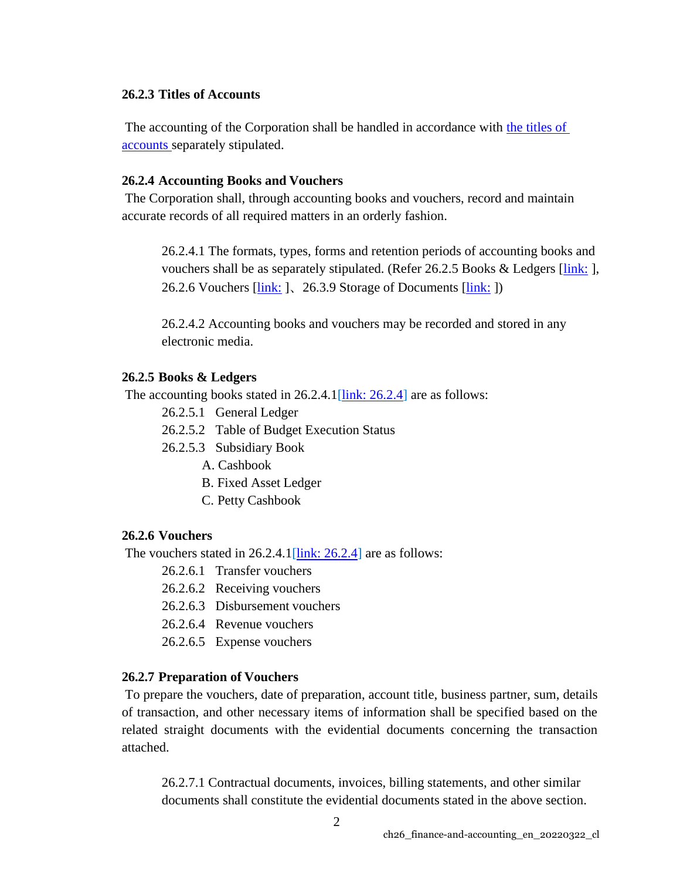## **26.2.3 Titles of Accounts**

The accounting of the Corporation shall be handled in accordance with [the titles of](http://iwww.oist.jp/document/prp-aux/26.2.3_%20titlesofaccounts_en.pdf) [accounts s](http://iwww.oist.jp/document/prp-aux/26.2.3_%20titlesofaccounts_en.pdf)eparately stipulated.

## <span id="page-1-2"></span>**26.2.4 Accounting Books and Vouchers**

The Corporation shall, through accounting books and vouchers, record and maintain accurate records of all required matters in an orderly fashion.

26.2.4.1 The formats, types, forms and retention periods of accounting books and vouchers shall be as separately stipulated. (Refer 26.2.5 Books & Ledgers [\[link:](#page-1-0) ], 26.2.6 Vouchers [\[link:](#page-23-0) ]、26.3.9 Storage of Documents [link: ])

26.2.4.2 Accounting books and vouchers may be recorded and stored in any electronic media.

## <span id="page-1-0"></span>**26.2.5 Books & Ledgers**

The accounting books stated in 26.2.4.1 $[\text{link}: 26.2.4]$  are as follows:

- 26.2.5.1 General Ledger
- 26.2.5.2 Table of Budget Execution Status
- 26.2.5.3 Subsidiary Book
	- A. Cashbook
	- B. Fixed Asset Ledger
	- C. Petty Cashbook

### <span id="page-1-1"></span>**26.2.6 Vouchers**

The vouchers stated in 26.2.4.1[\[link: 26.2.4\]](#page-1-2) are as follows:

- 26.2.6.1 Transfer vouchers
- 26.2.6.2 Receiving vouchers
- 26.2.6.3 Disbursement vouchers
- 26.2.6.4 Revenue vouchers
- 26.2.6.5 Expense vouchers

#### **26.2.7 Preparation of Vouchers**

To prepare the vouchers, date of preparation, account title, business partner, sum, details of transaction, and other necessary items of information shall be specified based on the related straight documents with the evidential documents concerning the transaction attached.

26.2.7.1 Contractual documents, invoices, billing statements, and other similar documents shall constitute the evidential documents stated in the above section.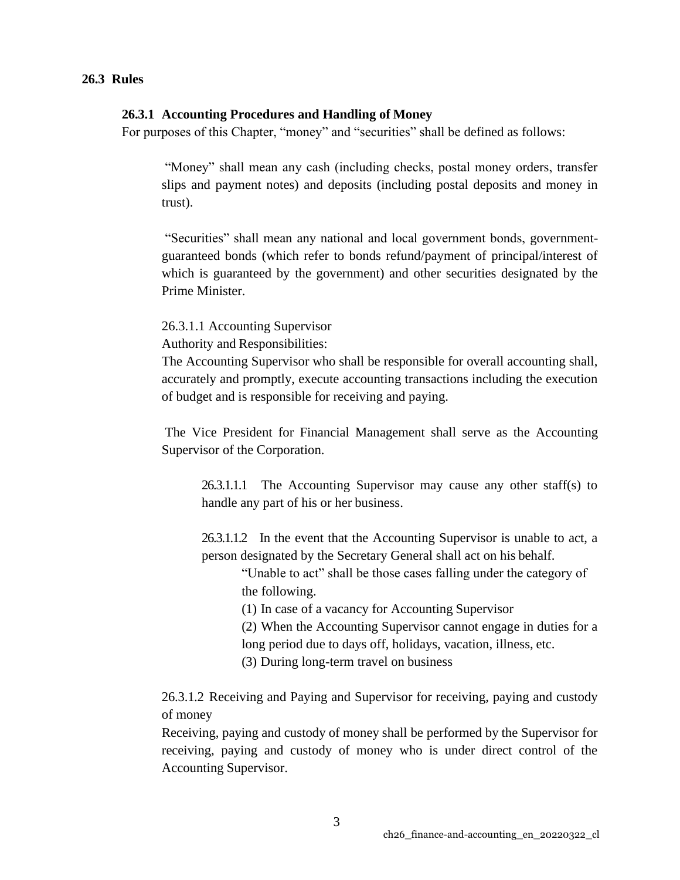#### **26.3 Rules**

#### **26.3.1 Accounting Procedures and Handling of Money**

For purposes of this Chapter, "money" and "securities" shall be defined as follows:

"Money" shall mean any cash (including checks, postal money orders, transfer slips and payment notes) and deposits (including postal deposits and money in trust).

"Securities" shall mean any national and local government bonds, governmentguaranteed bonds (which refer to bonds refund/payment of principal/interest of which is guaranteed by the government) and other securities designated by the Prime Minister.

26.3.1.1 Accounting Supervisor

Authority and Responsibilities:

The Accounting Supervisor who shall be responsible for overall accounting shall, accurately and promptly, execute accounting transactions including the execution of budget and is responsible for receiving and paying.

The Vice President for Financial Management shall serve as the Accounting Supervisor of the Corporation.

26.3.1.1.1 The Accounting Supervisor may cause any other staff(s) to handle any part of his or her business.

26.3.1.1.2 In the event that the Accounting Supervisor is unable to act, a person designated by the Secretary General shall act on his behalf.

"Unable to act" shall be those cases falling under the category of the following.

(1) In case of a vacancy for Accounting Supervisor

(2) When the Accounting Supervisor cannot engage in duties for a long period due to days off, holidays, vacation, illness, etc.

(3) During long-term travel on business

26.3.1.2 Receiving and Paying and Supervisor for receiving, paying and custody of money

Receiving, paying and custody of money shall be performed by the Supervisor for receiving, paying and custody of money who is under direct control of the Accounting Supervisor.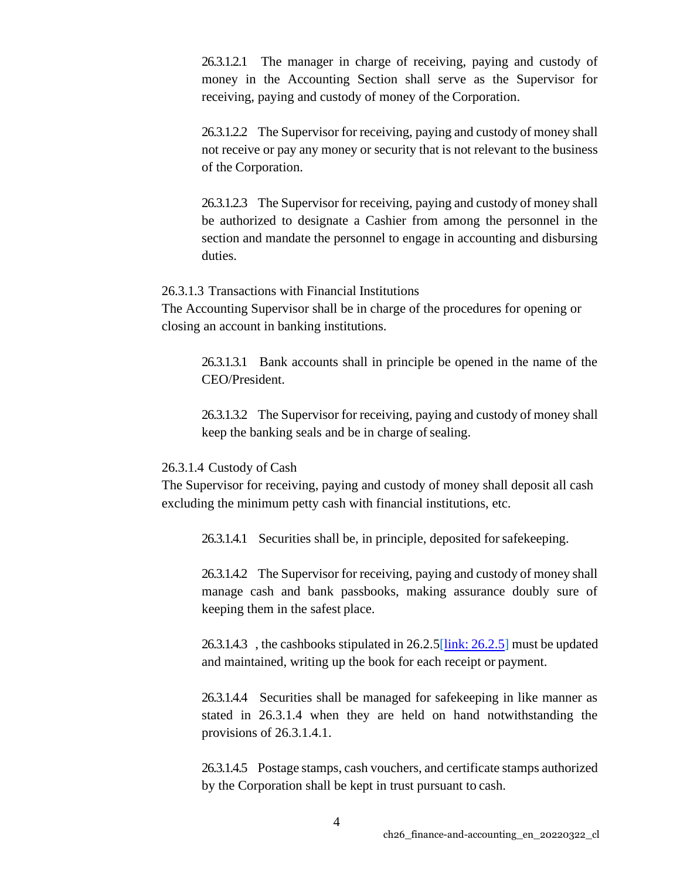26.3.1.2.1 The manager in charge of receiving, paying and custody of money in the Accounting Section shall serve as the Supervisor for receiving, paying and custody of money of the Corporation.

26.3.1.2.2 The Supervisor for receiving, paying and custody of money shall not receive or pay any money or security that is not relevant to the business of the Corporation.

26.3.1.2.3 The Supervisor for receiving, paying and custody of money shall be authorized to designate a Cashier from among the personnel in the section and mandate the personnel to engage in accounting and disbursing duties.

#### 26.3.1.3 Transactions with Financial Institutions

The Accounting Supervisor shall be in charge of the procedures for opening or closing an account in banking institutions.

26.3.1.3.1 Bank accounts shall in principle be opened in the name of the CEO/President.

26.3.1.3.2 The Supervisor for receiving, paying and custody of money shall keep the banking seals and be in charge of sealing.

#### 26.3.1.4 Custody of Cash

The Supervisor for receiving, paying and custody of money shall deposit all cash excluding the minimum petty cash with financial institutions, etc.

26.3.1.4.1 Securities shall be, in principle, deposited forsafekeeping.

26.3.1.4.2 The Supervisor for receiving, paying and custody of money shall manage cash and bank passbooks, making assurance doubly sure of keeping them in the safest place.

26.3.1.4.3 , the cashbooks stipulated in  $26.2.5$ [link:  $26.2.5$ ] must be updated and maintained, writing up the book for each receipt or payment.

26.3.1.4.4 Securities shall be managed for safekeeping in like manner as stated in 26.3.1.4 when they are held on hand notwithstanding the provisions of 26.3.1.4.1.

26.3.1.4.5 Postage stamps, cash vouchers, and certificate stamps authorized by the Corporation shall be kept in trust pursuant to cash.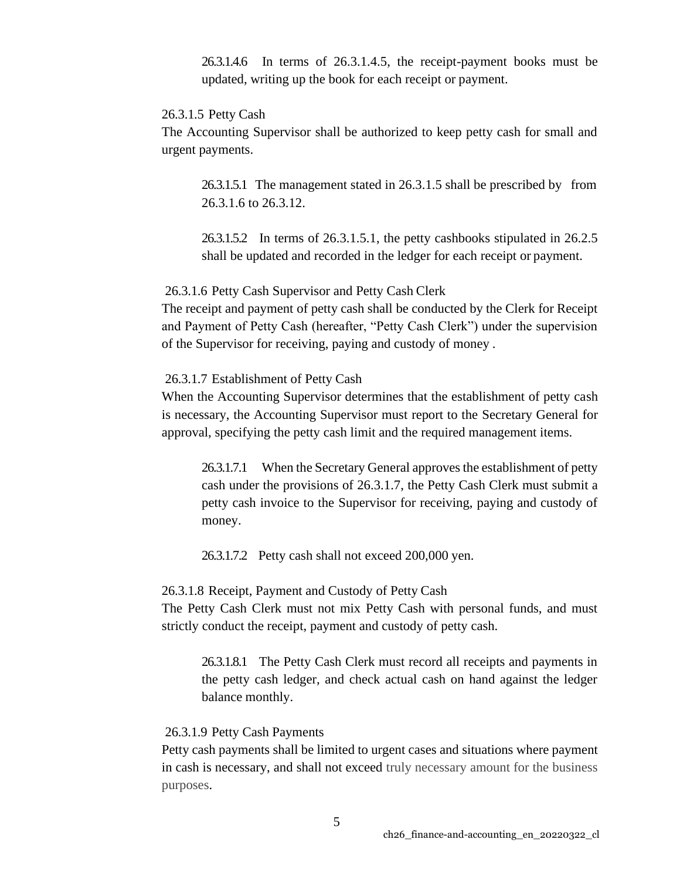26.3.1.4.6 In terms of 26.3.1.4.5, the receipt-payment books must be updated, writing up the book for each receipt or payment.

## 26.3.1.5 Petty Cash

The Accounting Supervisor shall be authorized to keep petty cash for small and urgent payments.

26.3.1.5.1 The management stated in 26.3.1.5 shall be prescribed by from 26.3.1.6 to 26.3.12.

26.3.1.5.2 In terms of 26.3.1.5.1, the petty cashbooks stipulated in 26.2.5 shall be updated and recorded in the ledger for each receipt or payment.

#### 26.3.1.6 Petty Cash Supervisor and Petty Cash Clerk

The receipt and payment of petty cash shall be conducted by the Clerk for Receipt and Payment of Petty Cash (hereafter, "Petty Cash Clerk") under the supervision of the Supervisor for receiving, paying and custody of money .

### 26.3.1.7 Establishment of Petty Cash

When the Accounting Supervisor determines that the establishment of petty cash is necessary, the Accounting Supervisor must report to the Secretary General for approval, specifying the petty cash limit and the required management items.

26.3.1.7.1 When the Secretary General approves the establishment of petty cash under the provisions of 26.3.1.7, the Petty Cash Clerk must submit a petty cash invoice to the Supervisor for receiving, paying and custody of money.

26.3.1.7.2 Petty cash shall not exceed 200,000 yen.

#### 26.3.1.8 Receipt, Payment and Custody of Petty Cash

The Petty Cash Clerk must not mix Petty Cash with personal funds, and must strictly conduct the receipt, payment and custody of petty cash.

26.3.1.8.1 The Petty Cash Clerk must record all receipts and payments in the petty cash ledger, and check actual cash on hand against the ledger balance monthly.

## 26.3.1.9 Petty Cash Payments

Petty cash payments shall be limited to urgent cases and situations where payment in cash is necessary, and shall not exceed truly necessary amount for the business purposes.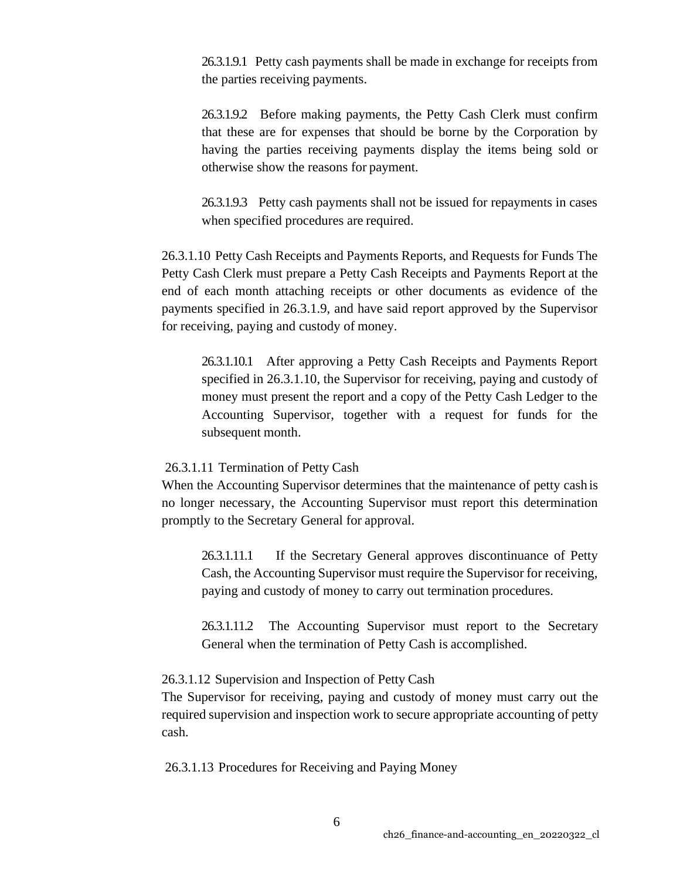26.3.1.9.1 Petty cash payments shall be made in exchange for receipts from the parties receiving payments.

26.3.1.9.2 Before making payments, the Petty Cash Clerk must confirm that these are for expenses that should be borne by the Corporation by having the parties receiving payments display the items being sold or otherwise show the reasons for payment.

26.3.1.9.3 Petty cash payments shall not be issued for repayments in cases when specified procedures are required.

26.3.1.10 Petty Cash Receipts and Payments Reports, and Requests for Funds The Petty Cash Clerk must prepare a Petty Cash Receipts and Payments Report at the end of each month attaching receipts or other documents as evidence of the payments specified in 26.3.1.9, and have said report approved by the Supervisor for receiving, paying and custody of money.

26.3.1.10.1 After approving a Petty Cash Receipts and Payments Report specified in 26.3.1.10, the Supervisor for receiving, paying and custody of money must present the report and a copy of the Petty Cash Ledger to the Accounting Supervisor, together with a request for funds for the subsequent month.

#### 26.3.1.11 Termination of Petty Cash

When the Accounting Supervisor determines that the maintenance of petty cash is no longer necessary, the Accounting Supervisor must report this determination promptly to the Secretary General for approval.

26.3.1.11.1 If the Secretary General approves discontinuance of Petty Cash, the Accounting Supervisor must require the Supervisor for receiving, paying and custody of money to carry out termination procedures.

26.3.1.11.2 The Accounting Supervisor must report to the Secretary General when the termination of Petty Cash is accomplished.

#### 26.3.1.12 Supervision and Inspection of Petty Cash

The Supervisor for receiving, paying and custody of money must carry out the required supervision and inspection work to secure appropriate accounting of petty cash.

26.3.1.13 Procedures for Receiving and Paying Money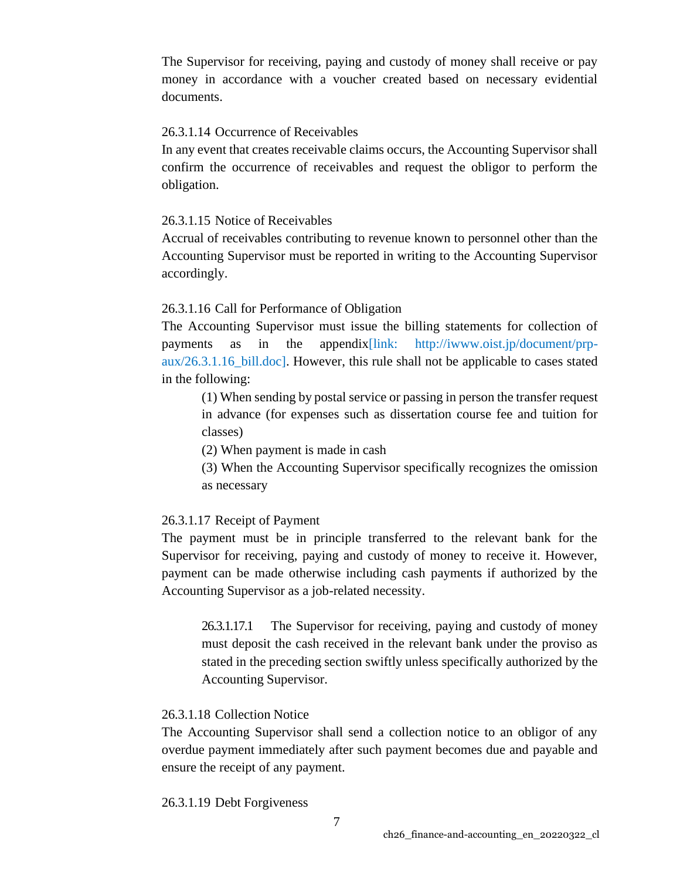The Supervisor for receiving, paying and custody of money shall receive or pay money in accordance with a voucher created based on necessary evidential documents.

## 26.3.1.14 Occurrence of Receivables

In any event that creates receivable claims occurs, the Accounting Supervisor shall confirm the occurrence of receivables and request the obligor to perform the obligation.

## 26.3.1.15 Notice of Receivables

Accrual of receivables contributing to revenue known to personnel other than the Accounting Supervisor must be reported in writing to the Accounting Supervisor accordingly.

# 26.3.1.16 Call for Performance of Obligation

The Accounting Supervisor must issue the billing statements for collection of payments as in the appendix[link: [http://iwww.oist.jp/document/prp](http://iwww.oist.jp/document/prp-)aux/26.3.1.16\_bill.doc]. However, this rule shall not be applicable to cases stated in the following:

(1) When sending by postal service or passing in person the transfer request in advance (for expenses such as dissertation course fee and tuition for classes)

(2) When payment is made in cash

(3) When the Accounting Supervisor specifically recognizes the omission as necessary

# 26.3.1.17 Receipt of Payment

The payment must be in principle transferred to the relevant bank for the Supervisor for receiving, paying and custody of money to receive it. However, payment can be made otherwise including cash payments if authorized by the Accounting Supervisor as a job-related necessity.

26.3.1.17.1 The Supervisor for receiving, paying and custody of money must deposit the cash received in the relevant bank under the proviso as stated in the preceding section swiftly unless specifically authorized by the Accounting Supervisor.

## 26.3.1.18 Collection Notice

The Accounting Supervisor shall send a collection notice to an obligor of any overdue payment immediately after such payment becomes due and payable and ensure the receipt of any payment.

26.3.1.19 Debt Forgiveness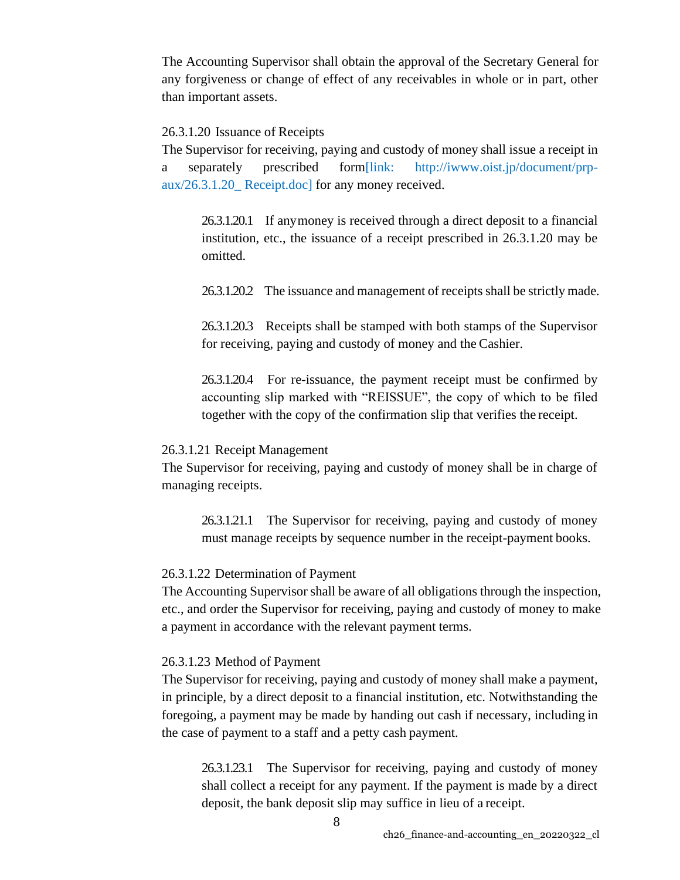The Accounting Supervisor shall obtain the approval of the Secretary General for any forgiveness or change of effect of any receivables in whole or in part, other than important assets.

#### 26.3.1.20 Issuance of Receipts

The Supervisor for receiving, paying and custody of money shall issue a receipt in a separately prescribed form[link: [http://iwww.oist.jp/document/prp](http://iwww.oist.jp/document/prp-)aux/26.3.1.20\_ Receipt.doc] for any money received.

26.3.1.20.1 If anymoney is received through a direct deposit to a financial institution, etc., the issuance of a receipt prescribed in 26.3.1.20 may be omitted.

26.3.1.20.2 The issuance and management of receipts shall be strictly made.

26.3.1.20.3 Receipts shall be stamped with both stamps of the Supervisor for receiving, paying and custody of money and the Cashier.

26.3.1.20.4 For re-issuance, the payment receipt must be confirmed by accounting slip marked with "REISSUE", the copy of which to be filed together with the copy of the confirmation slip that verifies the receipt.

#### 26.3.1.21 Receipt Management

The Supervisor for receiving, paying and custody of money shall be in charge of managing receipts.

26.3.1.21.1 The Supervisor for receiving, paying and custody of money must manage receipts by sequence number in the receipt-payment books.

#### 26.3.1.22 Determination of Payment

The Accounting Supervisor shall be aware of all obligations through the inspection, etc., and order the Supervisor for receiving, paying and custody of money to make a payment in accordance with the relevant payment terms.

#### 26.3.1.23 Method of Payment

The Supervisor for receiving, paying and custody of money shall make a payment, in principle, by a direct deposit to a financial institution, etc. Notwithstanding the foregoing, a payment may be made by handing out cash if necessary, including in the case of payment to a staff and a petty cash payment.

26.3.1.23.1 The Supervisor for receiving, paying and custody of money shall collect a receipt for any payment. If the payment is made by a direct deposit, the bank deposit slip may suffice in lieu of a receipt.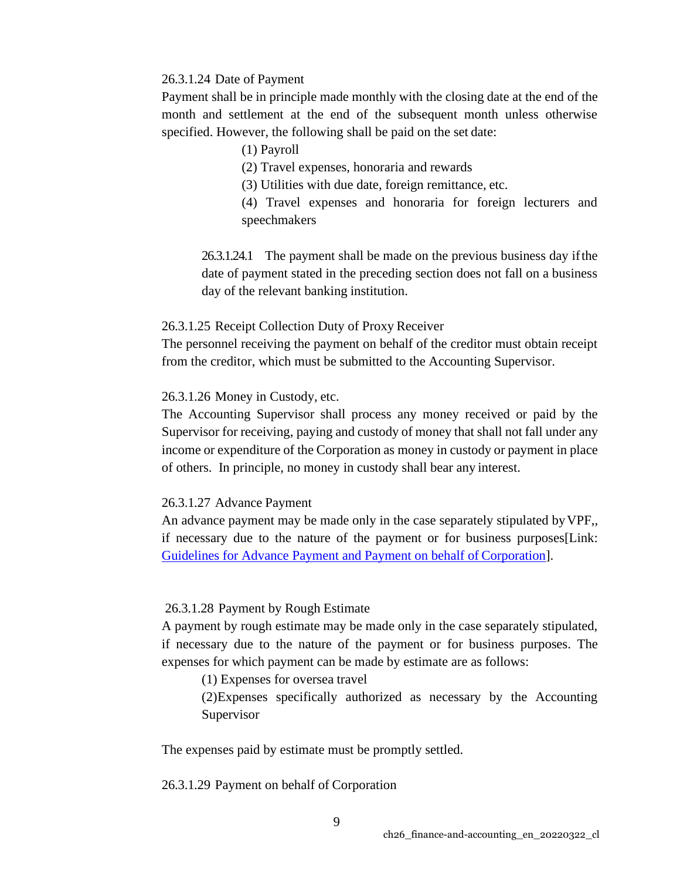### 26.3.1.24 Date of Payment

Payment shall be in principle made monthly with the closing date at the end of the month and settlement at the end of the subsequent month unless otherwise specified. However, the following shall be paid on the set date:

(1) Payroll

(2) Travel expenses, honoraria and rewards

(3) Utilities with due date, foreign remittance, etc.

(4) Travel expenses and honoraria for foreign lecturers and speechmakers

26.3.1.24.1 The payment shall be made on the previous business day ifthe date of payment stated in the preceding section does not fall on a business day of the relevant banking institution.

## 26.3.1.25 Receipt Collection Duty of Proxy Receiver

The personnel receiving the payment on behalf of the creditor must obtain receipt from the creditor, which must be submitted to the Accounting Supervisor.

## 26.3.1.26 Money in Custody, etc.

The Accounting Supervisor shall process any money received or paid by the Supervisor for receiving, paying and custody of money that shall not fall under any income or expenditure of the Corporation as money in custody or payment in place of others. In principle, no money in custody shall bear any interest.

## 26.3.1.27 Advance Payment

An advance payment may be made only in the case separately stipulated byVPF,, if necessary due to the nature of the payment or for business purposes[Link: [Guidelines for Advance Payment and Payment on behalf of](https://groups.oist.jp/dfa/payments) Corporation].

# 26.3.1.28 Payment by Rough Estimate

A payment by rough estimate may be made only in the case separately stipulated, if necessary due to the nature of the payment or for business purposes. The expenses for which payment can be made by estimate are as follows:

(1) Expenses for oversea travel

(2)Expenses specifically authorized as necessary by the Accounting Supervisor

The expenses paid by estimate must be promptly settled.

26.3.1.29 Payment on behalf of Corporation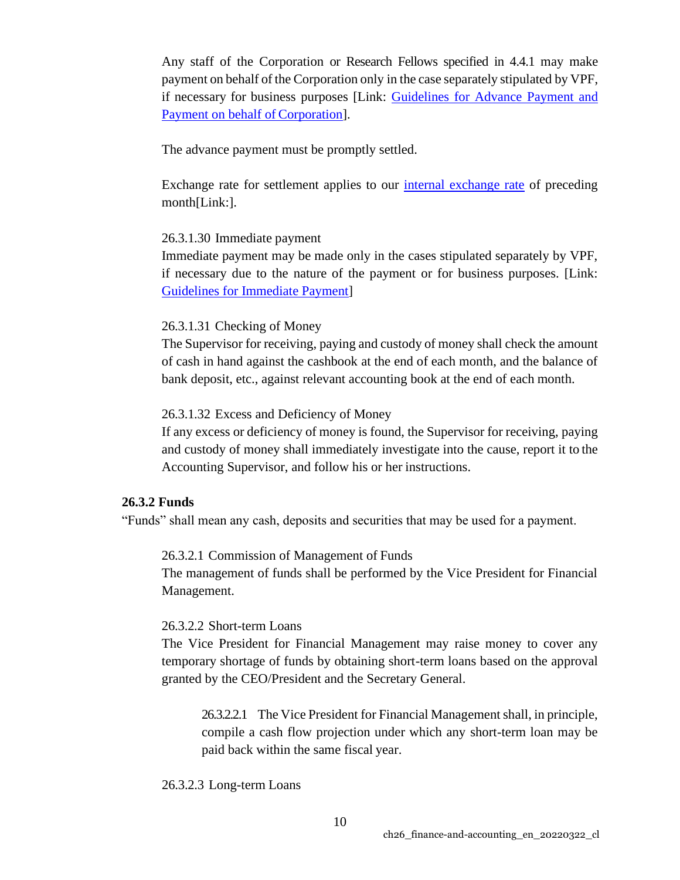Any staff of the Corporation or Research Fellows specified in 4.4.1 may make payment on behalf of the Corporation only in the case separately stipulated by VPF, if necessary for business purposes [Link: [Guidelines for Advance Payment and](https://groups.oist.jp/dfa/payments)  [Payment on behalf of](https://groups.oist.jp/dfa/payments) Corporation].

The advance payment must be promptly settled.

Exchange rate for settlement applies to our [internal exchange rate](https://groups.oist.jp/dfa/accounting-and-payment) of preceding month[Link:].

## 26.3.1.30 Immediate payment

Immediate payment may be made only in the cases stipulated separately by VPF, if necessary due to the nature of the payment or for business purposes. [Link: [Guidelines for Immediate Payment\]](https://groups.oist.jp/dfa/payments)

## 26.3.1.31 Checking of Money

The Supervisor for receiving, paying and custody of money shall check the amount of cash in hand against the cashbook at the end of each month, and the balance of bank deposit, etc., against relevant accounting book at the end of each month.

## 26.3.1.32 Excess and Deficiency of Money

If any excess or deficiency of money is found, the Supervisor for receiving, paying and custody of money shall immediately investigate into the cause, report it to the Accounting Supervisor, and follow his or her instructions.

## **26.3.2 Funds**

"Funds" shall mean any cash, deposits and securities that may be used for a payment.

26.3.2.1 Commission of Management of Funds

The management of funds shall be performed by the Vice President for Financial Management.

## 26.3.2.2 Short-term Loans

The Vice President for Financial Management may raise money to cover any temporary shortage of funds by obtaining short-term loans based on the approval granted by the CEO/President and the Secretary General.

26.3.2.2.1 The Vice President for Financial Management shall, in principle, compile a cash flow projection under which any short-term loan may be paid back within the same fiscal year.

#### 26.3.2.3 Long-term Loans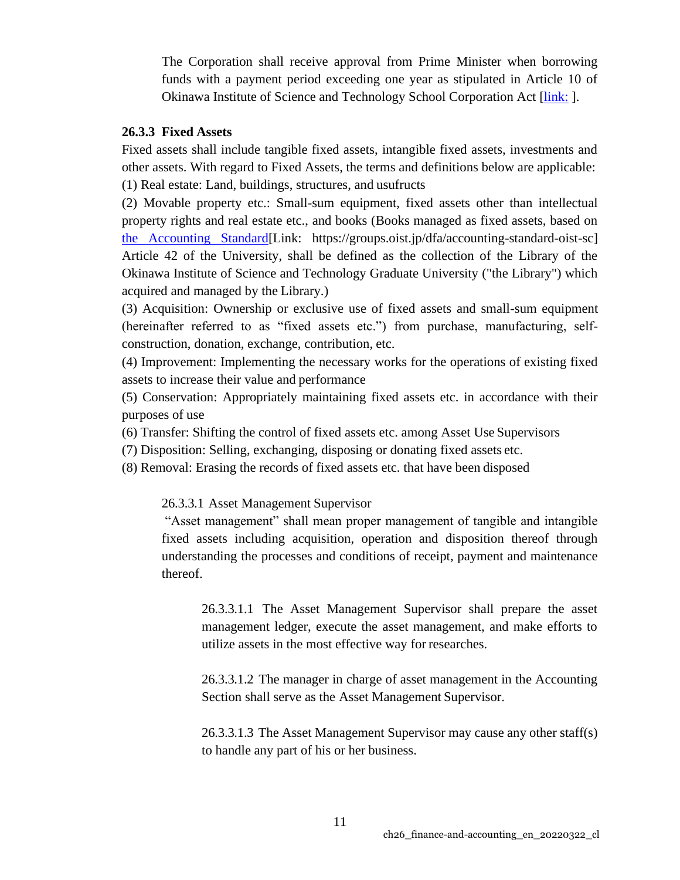The Corporation shall receive approval from Prime Minister when borrowing funds with a payment period exceeding one year as stipulated in Article 10 of Okinawa Institute of Science and Technology School Corporation Act [\[link:](https://groups.oist.jp/sites/default/files/imce/u113/OISTSC_Act.pdf) ].

## **26.3.3 Fixed Assets**

Fixed assets shall include tangible fixed assets, intangible fixed assets, investments and other assets. With regard to Fixed Assets, the terms and definitions below are applicable: (1) Real estate: Land, buildings, structures, and usufructs

(2) Movable property etc.: Small-sum equipment, fixed assets other than intellectual property rights and real estate etc., and books (Books managed as fixed assets, based on [the Accounting Standard\[](https://groups.oist.jp/dfa/accounting-standard-oist-sc)Link: https://groups.oist.jp/dfa/accounting-standard-oist-sc] Article 42 of the University, shall be defined as the collection of the Library of the Okinawa Institute of Science and Technology Graduate University ("the Library") which acquired and managed by the Library.)

(3) Acquisition: Ownership or exclusive use of fixed assets and small-sum equipment (hereinafter referred to as "fixed assets etc.") from purchase, manufacturing, selfconstruction, donation, exchange, contribution, etc.

(4) Improvement: Implementing the necessary works for the operations of existing fixed assets to increase their value and performance

(5) Conservation: Appropriately maintaining fixed assets etc. in accordance with their purposes of use

(6) Transfer: Shifting the control of fixed assets etc. among Asset Use Supervisors

(7) Disposition: Selling, exchanging, disposing or donating fixed assets etc.

(8) Removal: Erasing the records of fixed assets etc. that have been disposed

26.3.3.1 Asset Management Supervisor

"Asset management" shall mean proper management of tangible and intangible fixed assets including acquisition, operation and disposition thereof through understanding the processes and conditions of receipt, payment and maintenance thereof.

26.3.3.1.1 The Asset Management Supervisor shall prepare the asset management ledger, execute the asset management, and make efforts to utilize assets in the most effective way for researches.

26.3.3.1.2 The manager in charge of asset management in the Accounting Section shall serve as the Asset Management Supervisor.

26.3.3.1.3 The Asset Management Supervisor may cause any other staff(s) to handle any part of his or her business.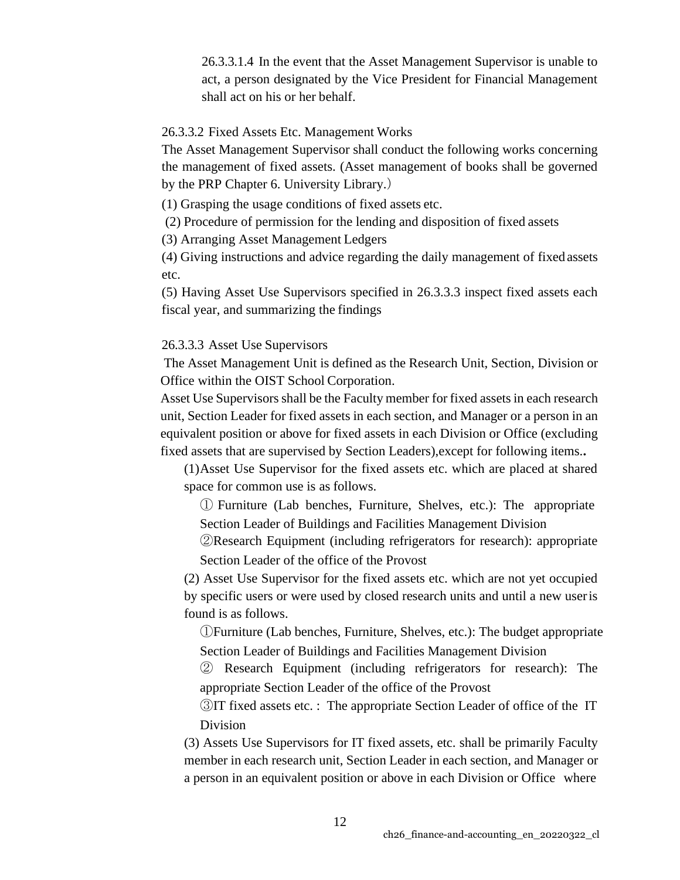26.3.3.1.4 In the event that the Asset Management Supervisor is unable to act, a person designated by the Vice President for Financial Management shall act on his or her behalf.

26.3.3.2 Fixed Assets Etc. Management Works

The Asset Management Supervisor shall conduct the following works concerning the management of fixed assets. (Asset management of books shall be governed by the PRP Chapter 6. University Library.)

(1) Grasping the usage conditions of fixed assets etc.

(2) Procedure of permission for the lending and disposition of fixed assets

(3) Arranging Asset Management Ledgers

(4) Giving instructions and advice regarding the daily management of fixedassets etc.

(5) Having Asset Use Supervisors specified in 26.3.3.3 inspect fixed assets each fiscal year, and summarizing the findings

26.3.3.3 Asset Use Supervisors

The Asset Management Unit is defined as the Research Unit, Section, Division or Office within the OIST School Corporation.

Asset Use Supervisors shall be the Faculty member for fixed assets in each research unit, Section Leader for fixed assets in each section, and Manager or a person in an equivalent position or above for fixed assets in each Division or Office (excluding fixed assets that are supervised by Section Leaders),except for following items.**.**

(1)Asset Use Supervisor for the fixed assets etc. which are placed at shared space for common use is as follows.

① Furniture (Lab benches, Furniture, Shelves, etc.): The appropriate Section Leader of Buildings and Facilities Management Division

②Research Equipment (including refrigerators for research): appropriate Section Leader of the office of the Provost

(2) Asset Use Supervisor for the fixed assets etc. which are not yet occupied by specific users or were used by closed research units and until a new useris found is as follows.

①Furniture (Lab benches, Furniture, Shelves, etc.): The budget appropriate Section Leader of Buildings and Facilities Management Division

② Research Equipment (including refrigerators for research): The appropriate Section Leader of the office of the Provost

③IT fixed assets etc. : The appropriate Section Leader of office of the IT Division

(3) Assets Use Supervisors for IT fixed assets, etc. shall be primarily Faculty member in each research unit, Section Leader in each section, and Manager or a person in an equivalent position or above in each Division or Office where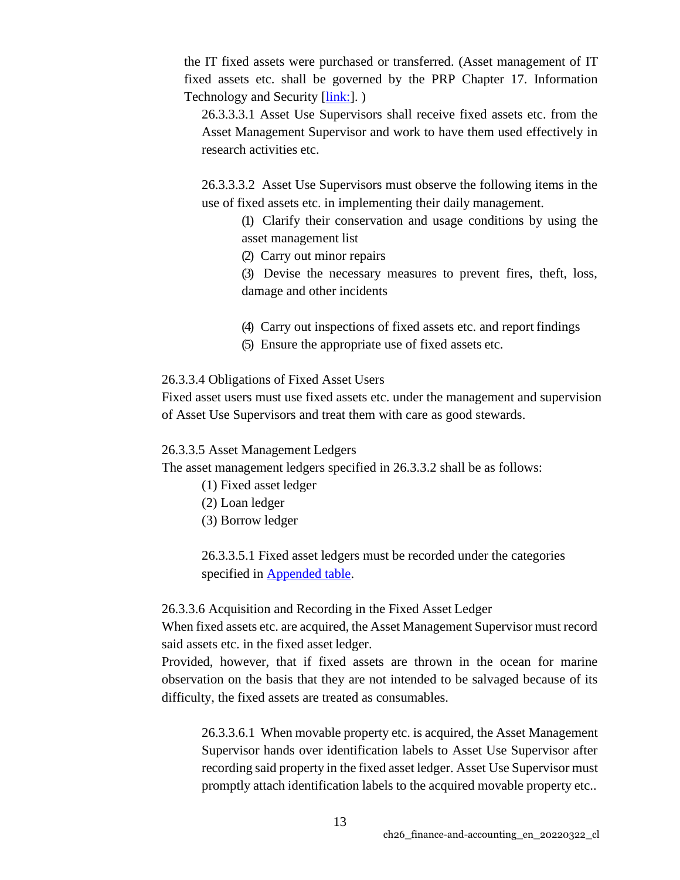the IT fixed assets were purchased or transferred. (Asset management of IT fixed assets etc. shall be governed by the PRP Chapter 17. Information Technology and Security [\[link:\]](https://www.oist.jp/policy-library/17).)

26.3.3.3.1 Asset Use Supervisors shall receive fixed assets etc. from the Asset Management Supervisor and work to have them used effectively in research activities etc.

26.3.3.3.2 Asset Use Supervisors must observe the following items in the use of fixed assets etc. in implementing their daily management.

(1) Clarify their conservation and usage conditions by using the asset management list

(2) Carry out minor repairs

(3) Devise the necessary measures to prevent fires, theft, loss, damage and other incidents

- (4) Carry out inspections of fixed assets etc. and report findings
- (5) Ensure the appropriate use of fixed assets etc.

## 26.3.3.4 Obligations of Fixed Asset Users

Fixed asset users must use fixed assets etc. under the management and supervision of Asset Use Supervisors and treat them with care as good stewards.

## 26.3.3.5 Asset Management Ledgers

The asset management ledgers specified in 26.3.3.2 shall be as follows:

- (1) Fixed asset ledger
- (2) Loan ledger
- (3) Borrow ledger

26.3.3.5.1 Fixed asset ledgers must be recorded under the categories specified in **Appended table**.

# 26.3.3.6 Acquisition and Recording in the Fixed Asset Ledger

When fixed assets etc. are acquired, the Asset Management Supervisor must record said assets etc. in the fixed asset ledger.

Provided, however, that if fixed assets are thrown in the ocean for marine observation on the basis that they are not intended to be salvaged because of its difficulty, the fixed assets are treated as consumables.

26.3.3.6.1 When movable property etc. is acquired, the Asset Management Supervisor hands over identification labels to Asset Use Supervisor after recording said property in the fixed asset ledger. Asset Use Supervisor must promptly attach identification labels to the acquired movable property etc..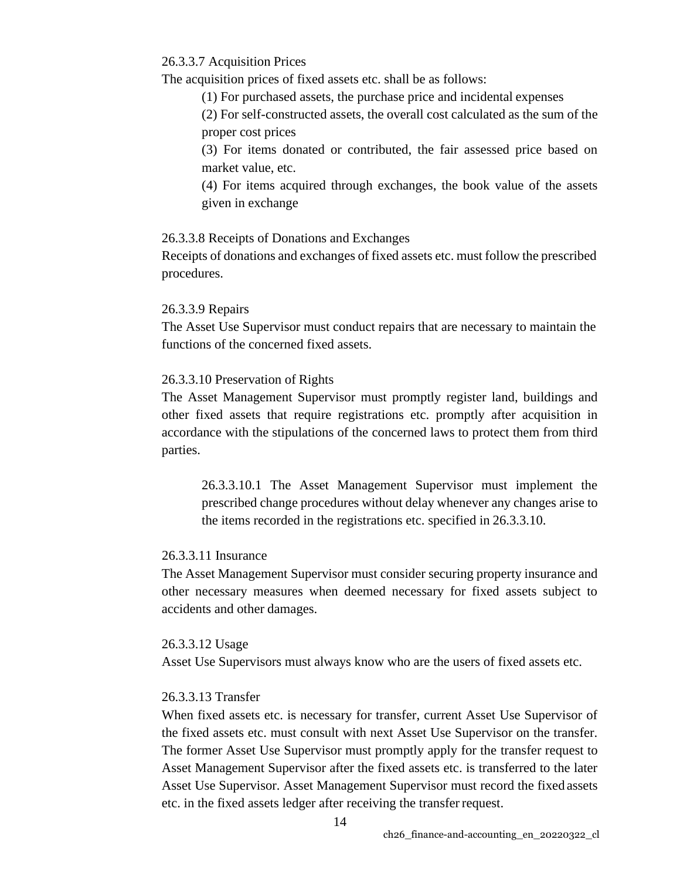26.3.3.7 Acquisition Prices

The acquisition prices of fixed assets etc. shall be as follows:

(1) For purchased assets, the purchase price and incidental expenses

(2) For self-constructed assets, the overall cost calculated as the sum of the proper cost prices

(3) For items donated or contributed, the fair assessed price based on market value, etc.

(4) For items acquired through exchanges, the book value of the assets given in exchange

## 26.3.3.8 Receipts of Donations and Exchanges

Receipts of donations and exchanges of fixed assets etc. must follow the prescribed procedures.

## 26.3.3.9 Repairs

The Asset Use Supervisor must conduct repairs that are necessary to maintain the functions of the concerned fixed assets.

## 26.3.3.10 Preservation of Rights

The Asset Management Supervisor must promptly register land, buildings and other fixed assets that require registrations etc. promptly after acquisition in accordance with the stipulations of the concerned laws to protect them from third parties.

26.3.3.10.1 The Asset Management Supervisor must implement the prescribed change procedures without delay whenever any changes arise to the items recorded in the registrations etc. specified in 26.3.3.10.

## 26.3.3.11 Insurance

The Asset Management Supervisor must consider securing property insurance and other necessary measures when deemed necessary for fixed assets subject to accidents and other damages.

#### 26.3.3.12 Usage

Asset Use Supervisors must always know who are the users of fixed assets etc.

## 26.3.3.13 Transfer

When fixed assets etc. is necessary for transfer, current Asset Use Supervisor of the fixed assets etc. must consult with next Asset Use Supervisor on the transfer. The former Asset Use Supervisor must promptly apply for the transfer request to Asset Management Supervisor after the fixed assets etc. is transferred to the later Asset Use Supervisor. Asset Management Supervisor must record the fixed assets etc. in the fixed assets ledger after receiving the transferrequest.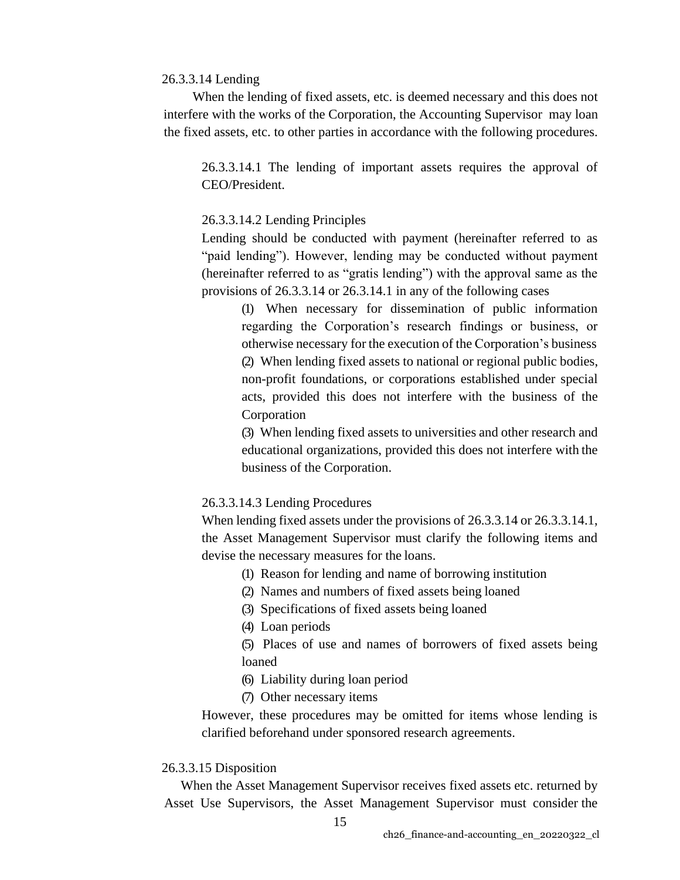#### 26.3.3.14 Lending

When the lending of fixed assets, etc. is deemed necessary and this does not interfere with the works of the Corporation, the Accounting Supervisor may loan the fixed assets, etc. to other parties in accordance with the following procedures.

26.3.3.14.1 The lending of important assets requires the approval of CEO/President.

### 26.3.3.14.2 Lending Principles

Lending should be conducted with payment (hereinafter referred to as "paid lending"). However, lending may be conducted without payment (hereinafter referred to as "gratis lending") with the approval same as the provisions of 26.3.3.14 or 26.3.14.1 in any of the following cases

(1) When necessary for dissemination of public information regarding the Corporation's research findings or business, or otherwise necessary for the execution of the Corporation's business (2) When lending fixed assets to national or regional public bodies, non-profit foundations, or corporations established under special acts, provided this does not interfere with the business of the Corporation

(3) When lending fixed assets to universities and other research and educational organizations, provided this does not interfere with the business of the Corporation.

#### 26.3.3.14.3 Lending Procedures

When lending fixed assets under the provisions of 26.3.3.14 or 26.3.3.14.1, the Asset Management Supervisor must clarify the following items and devise the necessary measures for the loans.

- (1) Reason for lending and name of borrowing institution
- (2) Names and numbers of fixed assets being loaned
- (3) Specifications of fixed assets being loaned
- (4) Loan periods

(5) Places of use and names of borrowers of fixed assets being loaned

- (6) Liability during loan period
- (7) Other necessary items

However, these procedures may be omitted for items whose lending is clarified beforehand under sponsored research agreements.

#### 26.3.3.15 Disposition

When the Asset Management Supervisor receives fixed assets etc. returned by Asset Use Supervisors, the Asset Management Supervisor must consider the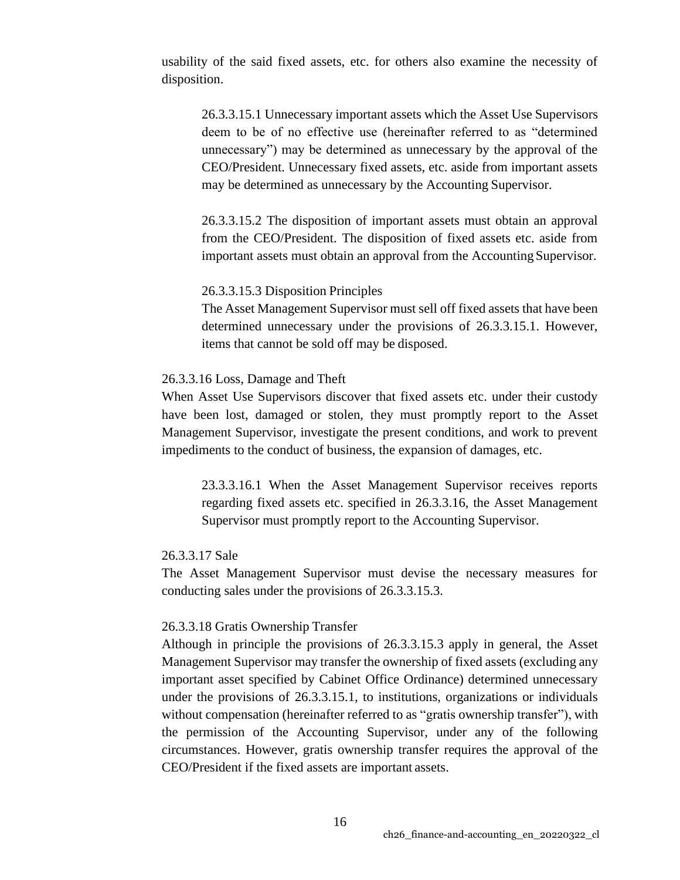usability of the said fixed assets, etc. for others also examine the necessity of disposition.

26.3.3.15.1 Unnecessary important assets which the Asset Use Supervisors deem to be of no effective use (hereinafter referred to as "determined unnecessary") may be determined as unnecessary by the approval of the CEO/President. Unnecessary fixed assets, etc. aside from important assets may be determined as unnecessary by the Accounting Supervisor.

26.3.3.15.2 The disposition of important assets must obtain an approval from the CEO/President. The disposition of fixed assets etc. aside from important assets must obtain an approval from the Accounting Supervisor.

#### 26.3.3.15.3 Disposition Principles

The Asset Management Supervisor must sell off fixed assets that have been determined unnecessary under the provisions of 26.3.3.15.1. However, items that cannot be sold off may be disposed.

#### 26.3.3.16 Loss, Damage and Theft

When Asset Use Supervisors discover that fixed assets etc. under their custody have been lost, damaged or stolen, they must promptly report to the Asset Management Supervisor, investigate the present conditions, and work to prevent impediments to the conduct of business, the expansion of damages, etc.

23.3.3.16.1 When the Asset Management Supervisor receives reports regarding fixed assets etc. specified in 26.3.3.16, the Asset Management Supervisor must promptly report to the Accounting Supervisor.

#### 26.3.3.17 Sale

The Asset Management Supervisor must devise the necessary measures for conducting sales under the provisions of 26.3.3.15.3.

#### 26.3.3.18 Gratis Ownership Transfer

Although in principle the provisions of 26.3.3.15.3 apply in general, the Asset Management Supervisor may transfer the ownership of fixed assets (excluding any important asset specified by Cabinet Office Ordinance) determined unnecessary under the provisions of 26.3.3.15.1, to institutions, organizations or individuals without compensation (hereinafter referred to as "gratis ownership transfer"), with the permission of the Accounting Supervisor, under any of the following circumstances. However, gratis ownership transfer requires the approval of the CEO/President if the fixed assets are important assets.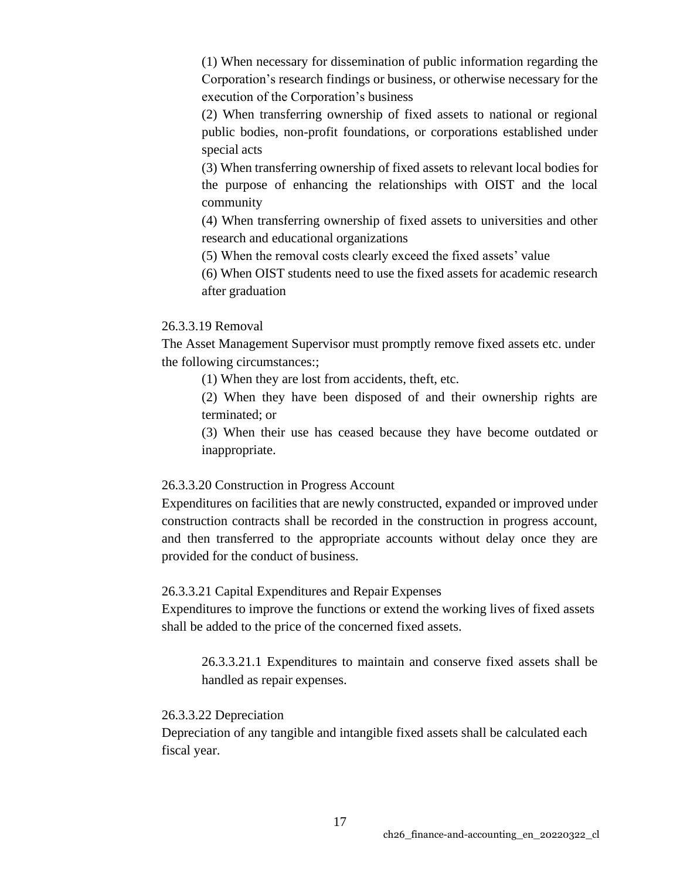(1) When necessary for dissemination of public information regarding the Corporation's research findings or business, or otherwise necessary for the execution of the Corporation's business

(2) When transferring ownership of fixed assets to national or regional public bodies, non-profit foundations, or corporations established under special acts

(3) When transferring ownership of fixed assets to relevant local bodies for the purpose of enhancing the relationships with OIST and the local community

(4) When transferring ownership of fixed assets to universities and other research and educational organizations

(5) When the removal costs clearly exceed the fixed assets' value

(6) When OIST students need to use the fixed assets for academic research after graduation

## 26.3.3.19 Removal

The Asset Management Supervisor must promptly remove fixed assets etc. under the following circumstances:;

(1) When they are lost from accidents, theft, etc.

(2) When they have been disposed of and their ownership rights are terminated; or

(3) When their use has ceased because they have become outdated or inappropriate.

## 26.3.3.20 Construction in Progress Account

Expenditures on facilities that are newly constructed, expanded or improved under construction contracts shall be recorded in the construction in progress account, and then transferred to the appropriate accounts without delay once they are provided for the conduct of business.

#### 26.3.3.21 Capital Expenditures and Repair Expenses

Expenditures to improve the functions or extend the working lives of fixed assets shall be added to the price of the concerned fixed assets.

26.3.3.21.1 Expenditures to maintain and conserve fixed assets shall be handled as repair expenses.

#### 26.3.3.22 Depreciation

Depreciation of any tangible and intangible fixed assets shall be calculated each fiscal year.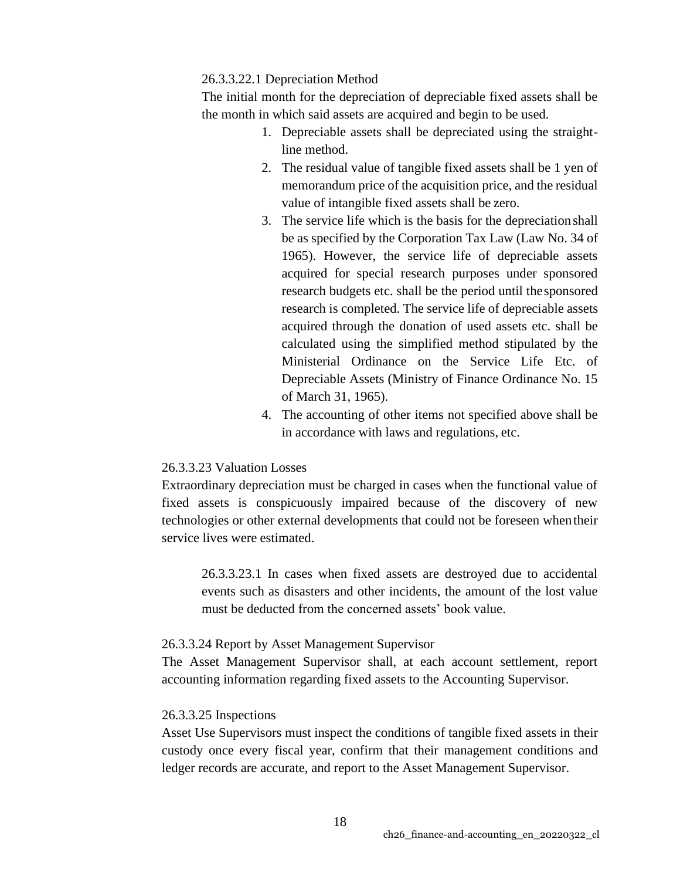#### 26.3.3.22.1 Depreciation Method

The initial month for the depreciation of depreciable fixed assets shall be the month in which said assets are acquired and begin to be used.

- 1. Depreciable assets shall be depreciated using the straightline method.
- 2. The residual value of tangible fixed assets shall be 1 yen of memorandum price of the acquisition price, and the residual value of intangible fixed assets shall be zero.
- 3. The service life which is the basis for the depreciationshall be as specified by the Corporation Tax Law (Law No. 34 of 1965). However, the service life of depreciable assets acquired for special research purposes under sponsored research budgets etc. shall be the period until thesponsored research is completed. The service life of depreciable assets acquired through the donation of used assets etc. shall be calculated using the simplified method stipulated by the Ministerial Ordinance on the Service Life Etc. of Depreciable Assets (Ministry of Finance Ordinance No. 15 of March 31, 1965).
- 4. The accounting of other items not specified above shall be in accordance with laws and regulations, etc.

#### 26.3.3.23 Valuation Losses

Extraordinary depreciation must be charged in cases when the functional value of fixed assets is conspicuously impaired because of the discovery of new technologies or other external developments that could not be foreseen whentheir service lives were estimated.

26.3.3.23.1 In cases when fixed assets are destroyed due to accidental events such as disasters and other incidents, the amount of the lost value must be deducted from the concerned assets' book value.

### 26.3.3.24 Report by Asset Management Supervisor

The Asset Management Supervisor shall, at each account settlement, report accounting information regarding fixed assets to the Accounting Supervisor.

#### 26.3.3.25 Inspections

Asset Use Supervisors must inspect the conditions of tangible fixed assets in their custody once every fiscal year, confirm that their management conditions and ledger records are accurate, and report to the Asset Management Supervisor.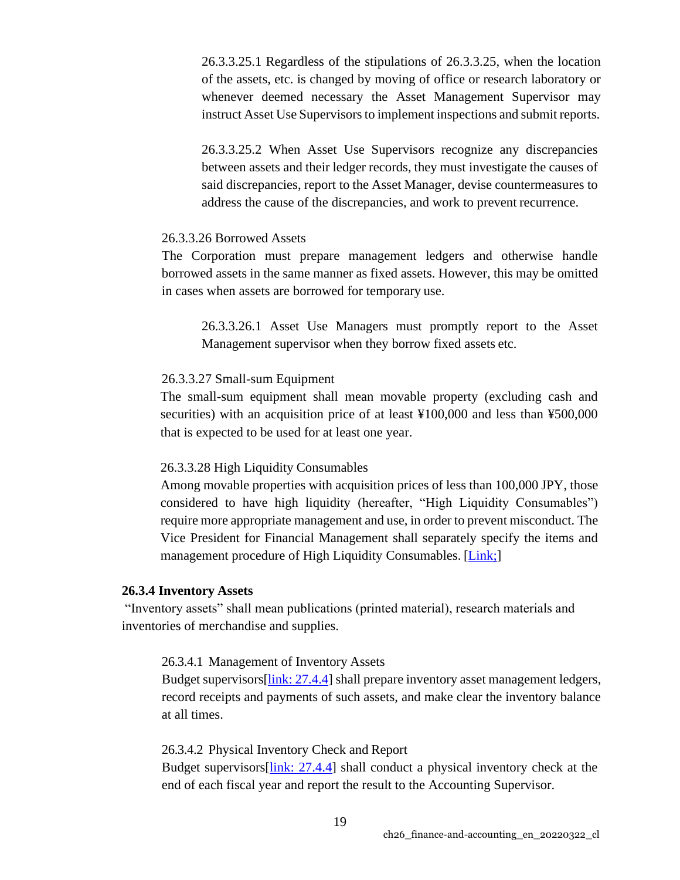26.3.3.25.1 Regardless of the stipulations of 26.3.3.25, when the location of the assets, etc. is changed by moving of office or research laboratory or whenever deemed necessary the Asset Management Supervisor may instruct Asset Use Supervisors to implement inspections and submit reports.

26.3.3.25.2 When Asset Use Supervisors recognize any discrepancies between assets and their ledger records, they must investigate the causes of said discrepancies, report to the Asset Manager, devise countermeasures to address the cause of the discrepancies, and work to prevent recurrence.

#### 26.3.3.26 Borrowed Assets

The Corporation must prepare management ledgers and otherwise handle borrowed assets in the same manner as fixed assets. However, this may be omitted in cases when assets are borrowed for temporary use.

26.3.3.26.1 Asset Use Managers must promptly report to the Asset Management supervisor when they borrow fixed assets etc.

#### 26.3.3.27 Small-sum Equipment

The small-sum equipment shall mean movable property (excluding cash and securities) with an acquisition price of at least ¥100,000 and less than ¥500,000 that is expected to be used for at least one year.

## 26.3.3.28 High Liquidity Consumables

Among movable properties with acquisition prices of less than 100,000 JPY, those considered to have high liquidity (hereafter, "High Liquidity Consumables") require more appropriate management and use, in order to prevent misconduct. The Vice President for Financial Management shall separately specify the items and management procedure of High Liquidity Consumables. [\[Link;\]](https://groups.oist.jp/dfa/fixed-assets)

#### **26.3.4 Inventory Assets**

"Inventory assets" shall mean publications (printed material), research materials and inventories of merchandise and supplies.

### 26.3.4.1 Management of Inventory Assets

Budget supervisors[link: [27.4.4\]](https://www.oist.jp/policy-library/27.4.4) shall prepare inventory asset management ledgers, record receipts and payments of such assets, and make clear the inventory balance at all times.

#### 26.3.4.2 Physical Inventory Check and Report

Budget supervisors[\[link: 27.4.4\]](https://www.oist.jp/policy-library/27.4.4) shall conduct a physical inventory check at the end of each fiscal year and report the result to the Accounting Supervisor.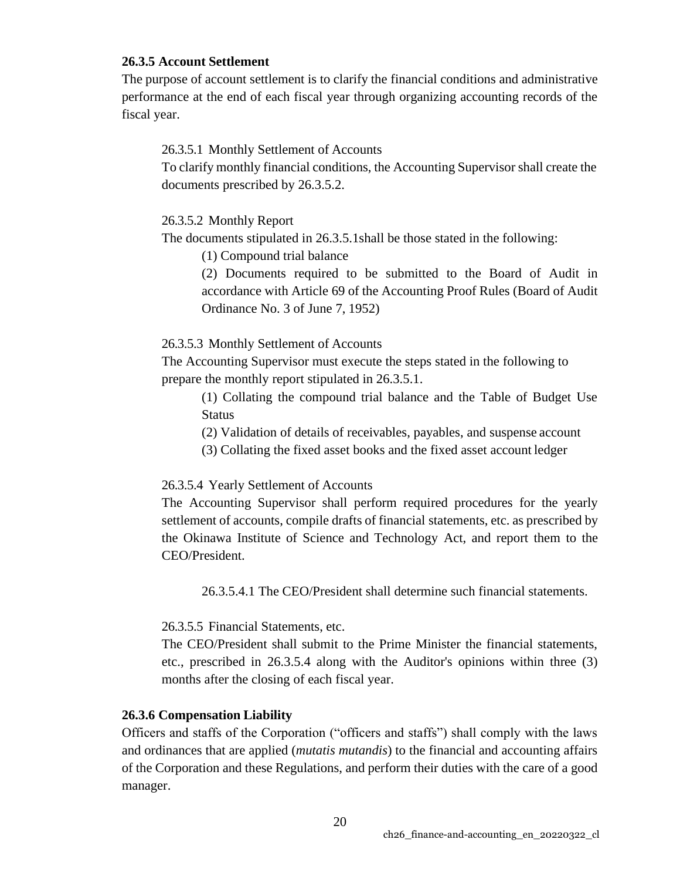## **26.3.5 Account Settlement**

The purpose of account settlement is to clarify the financial conditions and administrative performance at the end of each fiscal year through organizing accounting records of the fiscal year.

## 26.3.5.1 Monthly Settlement of Accounts

To clarify monthly financial conditions, the Accounting Supervisor shall create the documents prescribed by 26.3.5.2.

## 26.3.5.2 Monthly Report

The documents stipulated in 26.3.5.1shall be those stated in the following:

(1) Compound trial balance

(2) Documents required to be submitted to the Board of Audit in accordance with Article 69 of the Accounting Proof Rules (Board of Audit Ordinance No. 3 of June 7, 1952)

## 26.3.5.3 Monthly Settlement of Accounts

The Accounting Supervisor must execute the steps stated in the following to prepare the monthly report stipulated in 26.3.5.1.

- (1) Collating the compound trial balance and the Table of Budget Use **Status**
- (2) Validation of details of receivables, payables, and suspense account
- (3) Collating the fixed asset books and the fixed asset account ledger

# 26.3.5.4 Yearly Settlement of Accounts

The Accounting Supervisor shall perform required procedures for the yearly settlement of accounts, compile drafts of financial statements, etc. as prescribed by the Okinawa Institute of Science and Technology Act, and report them to the CEO/President.

26.3.5.4.1 The CEO/President shall determine such financial statements.

26.3.5.5 Financial Statements, etc.

The CEO/President shall submit to the Prime Minister the financial statements, etc., prescribed in 26.3.5.4 along with the Auditor's opinions within three (3) months after the closing of each fiscal year.

# **26.3.6 Compensation Liability**

Officers and staffs of the Corporation ("officers and staffs") shall comply with the laws and ordinances that are applied (*mutatis mutandis*) to the financial and accounting affairs of the Corporation and these Regulations, and perform their duties with the care of a good manager.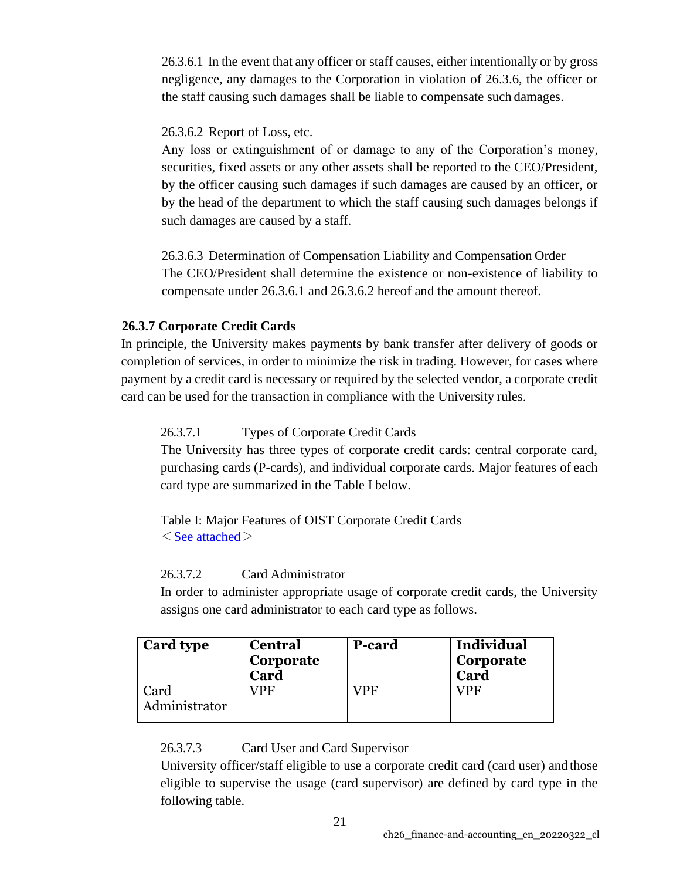26.3.6.1 In the event that any officer or staff causes, either intentionally or by gross negligence, any damages to the Corporation in violation of 26.3.6, the officer or the staff causing such damages shall be liable to compensate such damages.

# 26.3.6.2 Report of Loss, etc.

Any loss or extinguishment of or damage to any of the Corporation's money, securities, fixed assets or any other assets shall be reported to the CEO/President, by the officer causing such damages if such damages are caused by an officer, or by the head of the department to which the staff causing such damages belongs if such damages are caused by a staff.

26.3.6.3 Determination of Compensation Liability and Compensation Order The CEO/President shall determine the existence or non-existence of liability to compensate under 26.3.6.1 and 26.3.6.2 hereof and the amount thereof.

# **26.3.7 Corporate Credit Cards**

In principle, the University makes payments by bank transfer after delivery of goods or completion of services, in order to minimize the risk in trading. However, for cases where payment by a credit card is necessary or required by the selected vendor, a corporate credit card can be used for the transaction in compliance with the University rules.

# 26.3.7.1 Types of Corporate Credit Cards

The University has three types of corporate credit cards: central corporate card, purchasing cards (P-cards), and individual corporate cards. Major features of each card type are summarized in the Table I below.

Table I: Major Features of OIST Corporate Credit Cards  $\leq$ [See attached](https://www.oist.jp/sites/default/files/img/prp/ch26.3.7_table1_20220322.pdf) $\geq$ 

# 26.3.7.2 Card Administrator

In order to administer appropriate usage of corporate credit cards, the University assigns one card administrator to each card type as follows.

| <b>Card type</b>      | <b>Central</b><br>Corporate<br>Card | <b>P-card</b> | Individual<br>Corporate<br>Card |
|-----------------------|-------------------------------------|---------------|---------------------------------|
| Card<br>Administrator | /PF                                 | VPF           | VPF                             |

26.3.7.3 Card User and Card Supervisor

University officer/staff eligible to use a corporate credit card (card user) and those eligible to supervise the usage (card supervisor) are defined by card type in the following table.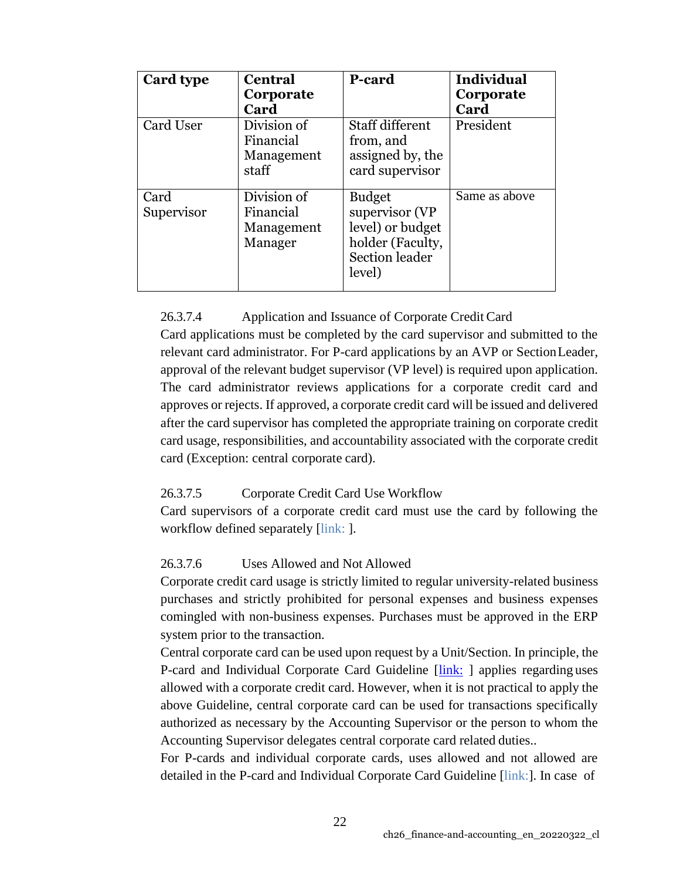| Card type          | <b>Central</b><br>Corporate<br>Card               | <b>P-card</b>                                                                                       | <b>Individual</b><br>Corporate<br>Card |
|--------------------|---------------------------------------------------|-----------------------------------------------------------------------------------------------------|----------------------------------------|
| Card User          | Division of<br>Financial<br>Management<br>staff   | <b>Staff different</b><br>from, and<br>assigned by, the<br>card supervisor                          | President                              |
| Card<br>Supervisor | Division of<br>Financial<br>Management<br>Manager | <b>Budget</b><br>supervisor (VP<br>level) or budget<br>holder (Faculty,<br>Section leader<br>level) | Same as above                          |

26.3.7.4 Application and Issuance of Corporate Credit Card

Card applications must be completed by the card supervisor and submitted to the relevant card administrator. For P-card applications by an AVP or SectionLeader, approval of the relevant budget supervisor (VP level) is required upon application. The card administrator reviews applications for a corporate credit card and approves or rejects. If approved, a corporate credit card will be issued and delivered after the card supervisor has completed the appropriate training on corporate credit card usage, responsibilities, and accountability associated with the corporate credit card (Exception: central corporate card).

# 26.3.7.5 Corporate Credit Card Use Workflow

Card supervisors of a corporate credit card must use the card by following the workflow defined separately [link: ].

# 26.3.7.6 Uses Allowed and Not Allowed

Corporate credit card usage is strictly limited to regular university-related business purchases and strictly prohibited for personal expenses and business expenses comingled with non-business expenses. Purchases must be approved in the ERP system prior to the transaction.

Central corporate card can be used upon request by a Unit/Section. In principle, the P-card and Individual Corporate Card Guideline [\[link:](https://groups.oist.jp/sites/default/files/imce/u294/P-card%2BIndvCC%2BGuideline%E3%80%8020140722.pdf) ] applies regarding uses allowed with a corporate credit card. However, when it is not practical to apply the above Guideline, central corporate card can be used for transactions specifically authorized as necessary by the Accounting Supervisor or the person to whom the Accounting Supervisor delegates central corporate card related duties..

For P-cards and individual corporate cards, uses allowed and not allowed are detailed in the P-card and Individual Corporate Card Guideline [link:]. In case of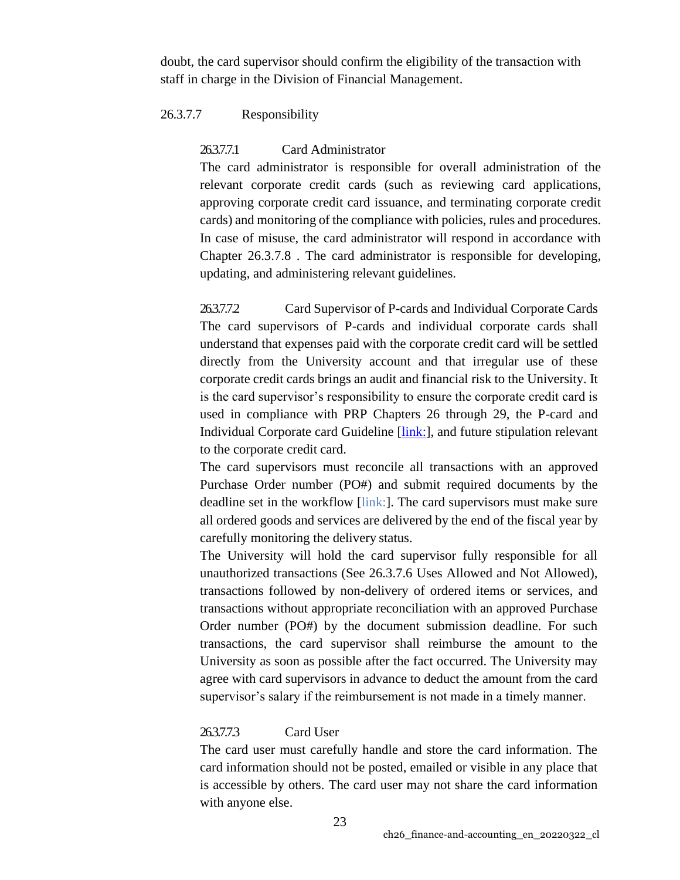doubt, the card supervisor should confirm the eligibility of the transaction with staff in charge in the Division of Financial Management.

## 26.3.7.7 Responsibility

### 26.3.7.7.1 Card Administrator

The card administrator is responsible for overall administration of the relevant corporate credit cards (such as reviewing card applications, approving corporate credit card issuance, and terminating corporate credit cards) and monitoring of the compliance with policies, rules and procedures. In case of misuse, the card administrator will respond in accordance with Chapter 26.3.7.8 . The card administrator is responsible for developing, updating, and administering relevant guidelines.

26.3.7.7.2 Card Supervisor of P-cards and Individual Corporate Cards The card supervisors of P-cards and individual corporate cards shall understand that expenses paid with the corporate credit card will be settled directly from the University account and that irregular use of these corporate credit cards brings an audit and financial risk to the University. It is the card supervisor's responsibility to ensure the corporate credit card is used in compliance with PRP Chapters 26 through 29, the P-card and Individual Corporate card Guideline [link:], and future stipulation relevant to the corporate credit card.

The card supervisors must reconcile all transactions with an approved Purchase Order number (PO#) and submit required documents by the deadline set in the workflow [link:]. The card supervisors must make sure all ordered goods and services are delivered by the end of the fiscal year by carefully monitoring the delivery status.

The University will hold the card supervisor fully responsible for all unauthorized transactions (See 26.3.7.6 Uses Allowed and Not Allowed), transactions followed by non-delivery of ordered items or services, and transactions without appropriate reconciliation with an approved Purchase Order number (PO#) by the document submission deadline. For such transactions, the card supervisor shall reimburse the amount to the University as soon as possible after the fact occurred. The University may agree with card supervisors in advance to deduct the amount from the card supervisor's salary if the reimbursement is not made in a timely manner.

#### 26.3.7.7.3 Card User

The card user must carefully handle and store the card information. The card information should not be posted, emailed or visible in any place that is accessible by others. The card user may not share the card information with anyone else.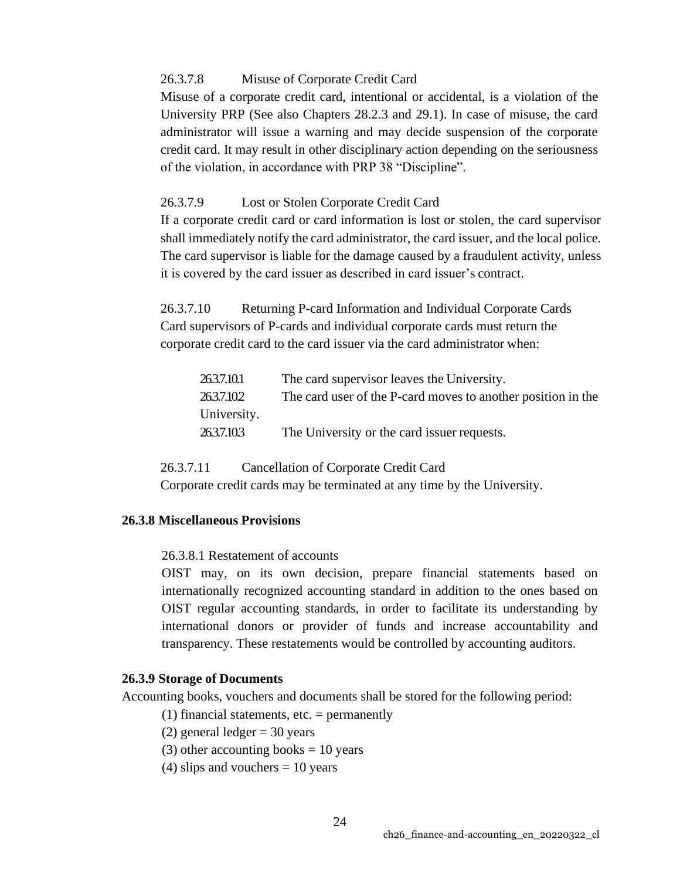## 26.3.7.8 Misuse of Corporate Credit Card

Misuse of a corporate credit card, intentional or accidental, is a violation of the University PRP (See also Chapters 28.2.3 and 29.1). In case of misuse, the card administrator will issue a warning and may decide suspension of the corporate credit card. It may result in other disciplinary action depending on the seriousness of the violation, in accordance with PRP 38 "Discipline".

## 26.3.7.9 Lost or Stolen Corporate Credit Card

If a corporate credit card or card information is lost or stolen, the card supervisor shall immediately notify the card administrator, the card issuer, and the local police. The card supervisor is liable for the damage caused by a fraudulent activity, unless it is covered by the card issuer as described in card issuer's contract.

26.3.7.10 Returning P-card Information and Individual Corporate Cards Card supervisors of P-cards and individual corporate cards must return the corporate credit card to the card issuer via the card administrator when:

| 263.7.10.1  | The card supervisor leaves the University.                   |
|-------------|--------------------------------------------------------------|
| 263.7.102   | The card user of the P-card moves to another position in the |
| University. |                                                              |
| 263.7.103   | The University or the card issuer requests.                  |

26.3.7.11 Cancellation of Corporate Credit Card Corporate credit cards may be terminated at any time by the University.

## **26.3.8 Miscellaneous Provisions**

26.3.8.1 Restatement of accounts

OIST may, on its own decision, prepare financial statements based on internationally recognized accounting standard in addition to the ones based on OIST regular accounting standards, in order to facilitate its understanding by international donors or provider of funds and increase accountability and transparency. These restatements would be controlled by accounting auditors.

## <span id="page-23-0"></span>**26.3.9 Storage of Documents**

Accounting books, vouchers and documents shall be stored for the following period:

- (1) financial statements, etc.  $=$  permanently
- (2) general ledger = 30 years
- (3) other accounting books  $= 10$  years
- (4) slips and vouchers  $= 10$  years